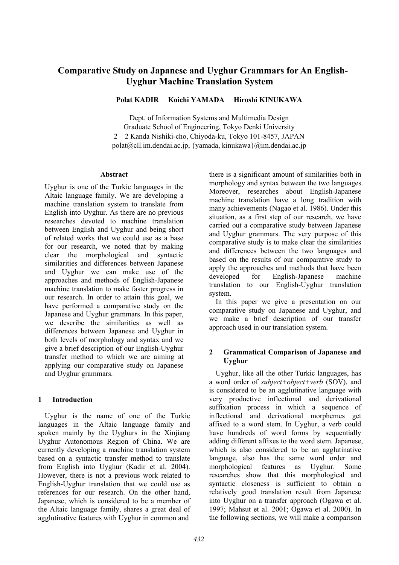# **Comparative Study on Japanese and Uyghur Grammars for An English-Uyghur Machine Translation System**

**Polat KADIR Koichi YAMADA Hiroshi KINUKAWA** 

Dept. of Information Systems and Multimedia Design Graduate School of Engineering, Tokyo Denki University 2 – 2 Kanda Nishiki-cho, Chiyoda-ku, Tokyo 101-8457, JAPAN polat@cll.im.dendai.ac.jp, {yamada, kinukawa}@im.dendai.ac.jp

## **Abstract**

Uyghur is one of the Turkic languages in the Altaic language family. We are developing a machine translation system to translate from English into Uyghur. As there are no previous researches devoted to machine translation between English and Uyghur and being short of related works that we could use as a base for our research, we noted that by making clear the morphological and syntactic similarities and differences between Japanese and Uyghur we can make use of the approaches and methods of English-Japanese machine translation to make faster progress in our research. In order to attain this goal, we have performed a comparative study on the Japanese and Uyghur grammars. In this paper, we describe the similarities as well as differences between Japanese and Uyghur in both levels of morphology and syntax and we give a brief description of our English-Uyghur transfer method to which we are aiming at applying our comparative study on Japanese and Uyghur grammars.

# **1 Introduction**

Uyghur is the name of one of the Turkic languages in the Altaic language family and spoken mainly by the Uyghurs in the Xinijang Uyghur Autonomous Region of China. We are currently developing a machine translation system based on a syntactic transfer method to translate from English into Uyghur (Kadir et al. 2004). However, there is not a previous work related to English-Uyghur translation that we could use as references for our research. On the other hand, Japanese, which is considered to be a member of the Altaic language family, shares a great deal of agglutinative features with Uyghur in common and

there is a significant amount of similarities both in morphology and syntax between the two languages. Moreover, researches about English-Japanese machine translation have a long tradition with many achievements (Nagao et al. 1986). Under this situation, as a first step of our research, we have carried out a comparative study between Japanese and Uyghur grammars. The very purpose of this comparative study is to make clear the similarities and differences between the two languages and based on the results of our comparative study to apply the approaches and methods that have been developed for English-Japanese machine translation to our English-Uyghur translation system.

In this paper we give a presentation on our comparative study on Japanese and Uyghur, and we make a brief description of our transfer approach used in our translation system.

# **2 Grammatical Comparison of Japanese and Uyghur**

Uyghur, like all the other Turkic languages, has a word order of *subject+object+verb* (SOV), and is considered to be an agglutinative language with very productive inflectional and derivational suffixation process in which a sequence of inflectional and derivational morphemes get affixed to a word stem. In Uyghur, a verb could have hundreds of word forms by sequentially adding different affixes to the word stem. Japanese, which is also considered to be an agglutinative language, also has the same word order and morphological features as Uyghur. Some researches show that this morphological and syntactic closeness is sufficient to obtain a relatively good translation result from Japanese into Uyghur on a transfer approach (Ogawa et al. 1997; Mahsut et al. 2001; Ogawa et al. 2000). In the following sections, we will make a comparison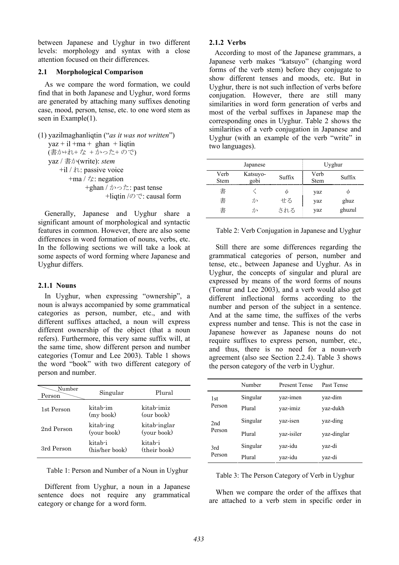between Japanese and Uyghur in two different levels: morphology and syntax with a close attention focused on their differences.

## **2.1 Morphological Comparison**

As we compare the word formation, we could find that in both Japanese and Uyghur, word forms are generated by attaching many suffixes denoting case, mood, person, tense, etc. to one word stem as seen in Example(1).

```
(1) yazilmaghanliqtin ("as it was not written") 
yaz + il +ma + ghan + liqtin
 (書か+れ+ な + かった+ ので)
 yaz / 書か(write): stem
     +il / れ: passive voice 
       +ma / \sqrt{2}: negation
              +ghan / かった: past tense 
                    +liqtin /ので: causal form
```
Generally, Japanese and Uyghur share a significant amount of morphological and syntactic features in common. However, there are also some differences in word formation of nouns, verbs, etc. In the following sections we will take a look at some aspects of word forming where Japanese and Uyghur differs.

## **2.1.1 Nouns**

In Uyghur, when expressing "ownership", a noun is always accompanied by some grammatical categories as person, number, etc., and with different suffixes attached, a noun will express different ownership of the object (that a noun refers). Furthermore, this very same suffix will, at the same time, show different person and number categories (Tomur and Lee 2003). Table 1 shows the word "book" with two different category of person and number.

| Number<br>Person | Singular                  | Plural                      |
|------------------|---------------------------|-----------------------------|
| 1st Person       | kitab-im<br>(my book)     | kitab-imiz<br>(our book)    |
| 2nd Person       | kitab-ing<br>(your book)  | kitab-inglar<br>(your book) |
| 3rd Person       | kitab-i<br>(his/her book) | kitab-i<br>(their book)     |

#### Table 1: Person and Number of a Noun in Uyghur

Different from Uyghur, a noun in a Japanese sentence does not require any grammatical category or change for a word form.

## **2.1.2 Verbs**

 According to most of the Japanese grammars, a Japanese verb makes "katsuyo" (changing word forms of the verb stem) before they conjugate to show different tenses and moods, etc. But in Uyghur, there is not such inflection of verbs before conjugation. However, there are still many similarities in word form generation of verbs and most of the verbal suffixes in Japanese map the corresponding ones in Uyghur. Table 2 shows the similarities of a verb conjugation in Japanese and Uyghur (with an example of the verb "write" in two languages).

|              | Japanese         |        |              | Uyghur |
|--------------|------------------|--------|--------------|--------|
| Verb<br>Stem | Katsuyo-<br>gobi | Suffix | Verb<br>Stem | Suffix |
| 書            |                  |        | yaz          |        |
| 書            | 力∍               | せる     | yaz          | ghuz   |
| 書            | かっ               | される    | yaz          | ghuzul |

|  |  |  | Table 2: Verb Conjugation in Japanese and Uyghur |  |
|--|--|--|--------------------------------------------------|--|
|  |  |  |                                                  |  |

Still there are some differences regarding the grammatical categories of person, number and tense, etc., between Japanese and Uyghur. As in Uyghur, the concepts of singular and plural are expressed by means of the word forms of nouns (Tomur and Lee 2003), and a verb would also get different inflectional forms according to the number and person of the subject in a sentence. And at the same time, the suffixes of the verbs express number and tense. This is not the case in Japanese however as Japanese nouns do not require suffixes to express person, number, etc., and thus, there is no need for a noun-verb agreement (also see Section 2.2.4). Table 3 shows the person category of the verb in Uyghur.

|                 | Number   | <b>Present Tense</b> | Past Tense  |
|-----------------|----------|----------------------|-------------|
| 1 <sub>st</sub> | Singular | yaz-imen             | yaz-dim     |
| Person          | Plural   | yaz-imiz             | yaz-dukh    |
| 2nd<br>Person   | Singular | yaz-isen             | yaz-ding    |
|                 | Plural   | yaz-isiler           | yaz-dinglar |
| 3rd             | Singular | yaz-idu              | yaz-di      |
| Person          | Plural   | yaz-idu              | yaz-di      |

Table 3: The Person Category of Verb in Uyghur

When we compare the order of the affixes that are attached to a verb stem in specific order in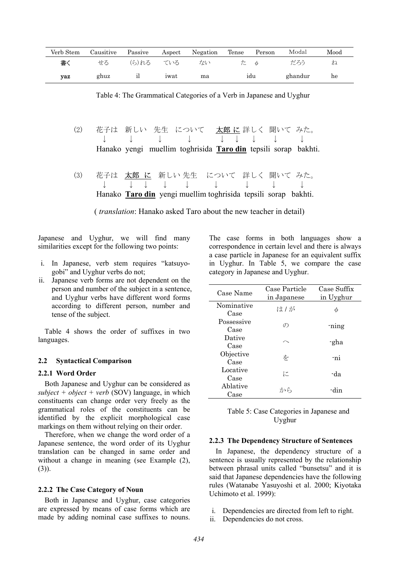| Verb Stem | Causitive | Passive | Aspect | Negation | Tense | Person | Modal   | Mood |
|-----------|-----------|---------|--------|----------|-------|--------|---------|------|
| 書く        | せる        | (ら)れる   | ている    | ない       | た     | $\phi$ | だろう     | ね    |
| yaz       | ghuz      | ıı      | iwat   | ma       |       | idu    | ghandur | he   |

| (2) |  | 花子は 新しい 先生 について 太郎に詳しく 聞いてみた。<br>$\downarrow\qquad\downarrow\qquad\downarrow\qquad\downarrow\qquad\downarrow\qquad\downarrow\qquad\downarrow\qquad\downarrow\qquad\downarrow\qquad\downarrow$<br>Hanako yengi muellim toghrisida <b>Taro din</b> tepsili sorap bakhti. |  |  |
|-----|--|------------------------------------------------------------------------------------------------------------------------------------------------------------------------------------------------------------------------------------------------------------------------|--|--|
|     |  | (3) 花子は 太郎 に 新しい 先生 について 詳しく 聞いて みた。                                                                                                                                                                                                                                   |  |  |

Table 4: The Grammatical Categories of a Verb in Japanese and Uyghur

(3) 花子は 太郎 に 新しい 先生 について 詳しく 聞いて みた。 ↓ ↓ ↓ ↓ ↓ ↓ ↓ ↓ ↓ Hanako **Taro din** yengi muellim toghrisida tepsili sorap bakhti.

( *translation*: Hanako asked Taro about the new teacher in detail)

Japanese and Uyghur, we will find many similarities except for the following two points:

- i. In Japanese, verb stem requires "katsuyogobi" and Uyghur verbs do not;
- ii. Japanese verb forms are not dependent on the person and number of the subject in a sentence, and Uyghur verbs have different word forms according to different person, number and tense of the subject.

Table 4 shows the order of suffixes in two languages.

## **2.2 Syntactical Comparison**

## **2.2.1 Word Order**

Both Japanese and Uyghur can be considered as  $subject + object + verb$  (SOV) language, in which constituents can change order very freely as the grammatical roles of the constituents can be identified by the explicit morphological case markings on them without relying on their order.

Therefore, when we change the word order of a Japanese sentence, the word order of its Uyghur translation can be changed in same order and without a change in meaning (see Example (2),  $(3)$ ).

## **2.2.2 The Case Category of Noun**

Both in Japanese and Uyghur, case categories are expressed by means of case forms which are made by adding nominal case suffixes to nouns. The case forms in both languages show a correspondence in certain level and there is always a case particle in Japanese for an equivalent suffix in Uyghur. In Table 5, we compare the case category in Japanese and Uyghur.

| Case Name          | Case Particle<br>in Japanese | Case Suffix<br>in Uyghur |
|--------------------|------------------------------|--------------------------|
| Nominative<br>Case | は / が                        | Φ                        |
| Possessive<br>Case | $\mathcal{O}$                | ning                     |
| Dative<br>Case     |                              | -gha                     |
| Objective<br>Case  | を                            | -ni                      |
| Locative<br>Case   | に                            | -da                      |
| Ablative<br>Case   | から                           | -din                     |

Table 5: Case Categories in Japanese and Uyghur

#### **2.2.3 The Dependency Structure of Sentences**

In Japanese, the dependency structure of a sentence is usually represented by the relationship between phrasal units called "bunsetsu" and it is said that Japanese dependencies have the following rules (Watanabe Yasuyoshi et al. 2000; Kiyotaka Uchimoto et al. 1999):

- i. Dependencies are directed from left to right.
- ii. Dependencies do not cross.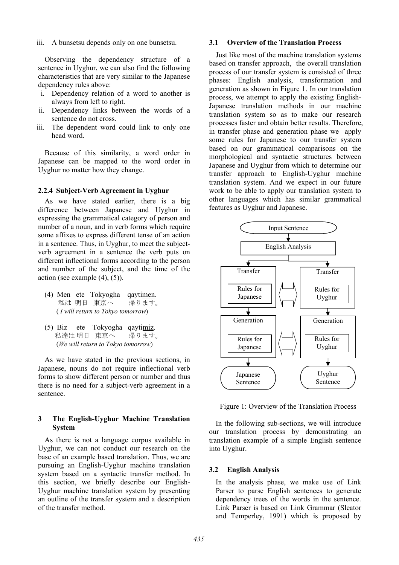iii. A bunsetsu depends only on one bunsetsu.

Observing the dependency structure of a sentence in Uyghur, we can also find the following characteristics that are very similar to the Japanese dependency rules above:

- i. Dependency relation of a word to another is always from left to right.
- ii. Dependency links between the words of a sentence do not cross.
- iii. The dependent word could link to only one head word.

Because of this similarity, a word order in Japanese can be mapped to the word order in Uyghur no matter how they change.

#### **2.2.4 Subject-Verb Agreement in Uyghur**

As we have stated earlier, there is a big difference between Japanese and Uyghur in expressing the grammatical category of person and number of a noun, and in verb forms which require some affixes to express different tense of an action in a sentence. Thus, in Uyghur, to meet the subjectverb agreement in a sentence the verb puts on different inflectional forms according to the person and number of the subject, and the time of the action (see example  $(4)$ ,  $(5)$ ).

- (4) Men ete Tokyogha qaytimen. 私は 明日 東京へ 帰ります。 ( *I will return to Tokyo tomorrow*)
- (5) Biz ete Tokyogha qaytimiz. 私達は 明日 東京へ 帰ります。 (*We will return to Tokyo tomorrow*)

As we have stated in the previous sections, in Japanese, nouns do not require inflectional verb forms to show different person or number and thus there is no need for a subject-verb agreement in a sentence.

## **3 The English-Uyghur Machine Translation System**

As there is not a language corpus available in Uyghur, we can not conduct our research on the base of an example based translation. Thus, we are pursuing an English-Uyghur machine translation system based on a syntactic transfer method. In this section, we briefly describe our English-Uyghur machine translation system by presenting an outline of the transfer system and a description of the transfer method.

## **3.1 Overview of the Translation Process**

Just like most of the machine translation systems based on transfer approach, the overall translation process of our transfer system is consisted of three phases: English analysis, transformation and generation as shown in Figure 1. In our translation process, we attempt to apply the existing English-Japanese translation methods in our machine translation system so as to make our research processes faster and obtain better results. Therefore, in transfer phase and generation phase we apply some rules for Japanese to our transfer system based on our grammatical comparisons on the morphological and syntactic structures between Japanese and Uyghur from which to determine our transfer approach to English-Uyghur machine translation system. And we expect in our future work to be able to apply our translation system to other languages which has similar grammatical features as Uyghur and Japanese.



Figure 1: Overview of the Translation Process

In the following sub-sections, we will introduce our translation process by demonstrating an translation example of a simple English sentence into Uyghur.

## **3.2 English Analysis**

In the analysis phase, we make use of Link Parser to parse English sentences to generate dependency trees of the words in the sentence. Link Parser is based on Link Grammar (Sleator and Temperley, 1991) which is proposed by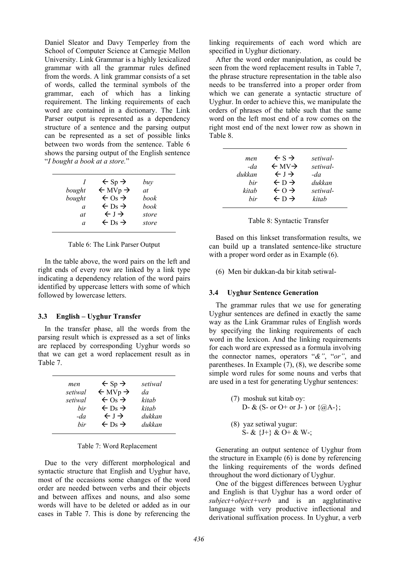Daniel Sleator and Davy Temperley from the School of Computer Science at Carnegie Mellon University. Link Grammar is a highly lexicalized grammar with all the grammar rules defined from the words. A link grammar consists of a set of words, called the terminal symbols of the grammar, each of which has a linking requirement. The linking requirements of each word are contained in a dictionary. The Link Parser output is represented as a dependency structure of a sentence and the parsing output can be represented as a set of possible links between two words from the sentence. Table 6 shows the parsing output of the English sentence "*I bought a book at a store.*"

| bought<br>bought<br>a<br>at | $\leftarrow$ Sp $\rightarrow$<br>$\leftarrow$ MVp $\rightarrow$<br>$\leftarrow$ Os $\rightarrow$<br>$\leftarrow$ Ds $\rightarrow$<br>$\leftarrow$ J $\rightarrow$<br>$\leftarrow$ Ds $\rightarrow$ | buy<br>at<br>book<br>book<br>store |
|-----------------------------|----------------------------------------------------------------------------------------------------------------------------------------------------------------------------------------------------|------------------------------------|
| a                           |                                                                                                                                                                                                    | store                              |

Table 6: The Link Parser Output

In the table above, the word pairs on the left and right ends of every row are linked by a link type indicating a dependency relation of the word pairs identified by uppercase letters with some of which followed by lowercase letters.

## **3.3 English – Uyghur Transfer**

In the transfer phase, all the words from the parsing result which is expressed as a set of links are replaced by corresponding Uyghur words so that we can get a word replacement result as in Table 7.

| men     | $\leftarrow$ Sp $\rightarrow$  | setiwal |
|---------|--------------------------------|---------|
| setiwal | $\leftarrow$ MVp $\rightarrow$ | da      |
| setiwal | $\leftarrow$ Os $\rightarrow$  | kitab   |
| hir     | $\leftarrow$ Ds $\rightarrow$  | kitah   |
| $-da$   | $\leftarrow$ $\rightarrow$     | dukkan  |
| hir     | $\leftarrow$ Ds $\rightarrow$  | dukkan  |

|  |  |  | Table 7: Word Replacement |
|--|--|--|---------------------------|
|--|--|--|---------------------------|

Due to the very different morphological and syntactic structure that English and Uyghur have, most of the occasions some changes of the word order are needed between verbs and their objects and between affixes and nouns, and also some words will have to be deleted or added as in our cases in Table 7. This is done by referencing the linking requirements of each word which are specified in Uyghur dictionary.

After the word order manipulation, as could be seen from the word replacement results in Table 7, the phrase structure representation in the table also needs to be transferred into a proper order from which we can generate a syntactic structure of Uyghur. In order to achieve this, we manipulate the orders of phrases of the table such that the same word on the left most end of a row comes on the right most end of the next lower row as shown in Table 8.

| men    | $\leftarrow$ S $\rightarrow$  | setiwal- |
|--------|-------------------------------|----------|
| $-da$  | $\leftarrow$ MV $\rightarrow$ | setiwal- |
| dukkan | $\leftarrow$ $\rightarrow$    | $-da$    |
| hir    | $\leftarrow$ D $\rightarrow$  | dukkan   |
| kitab  | $\leftarrow 0 \rightarrow$    | setiwal- |
| hir    | $\leftarrow$ D $\rightarrow$  | kitab    |

Table 8: Syntactic Transfer

Based on this linkset transformation results, we can build up a translated sentence-like structure with a proper word order as in Example  $(6)$ .

(6) Men bir dukkan-da bir kitab setiwal-

# **3.4 Uyghur Sentence Generation**

The grammar rules that we use for generating Uyghur sentences are defined in exactly the same way as the Link Grammar rules of English words by specifying the linking requirements of each word in the lexicon. And the linking requirements for each word are expressed as a formula involving the connector names, operators "*&"*, "*or"*, and parentheses. In Example  $(7)$ ,  $(8)$ , we describe some simple word rules for some nouns and verbs that are used in a test for generating Uyghur sentences:

- (7) moshuk sut kitab oy: D- & (S- or O+ or J- ) or  $\{@A-\}$ ;
- (8) yaz setiwal yugur: S- & {J+} & O+ & W-;

Generating an output sentence of Uyghur from the structure in Example (6) is done by referencing the linking requirements of the words defined throughout the word dictionary of Uyghur.

One of the biggest differences between Uyghur and English is that Uyghur has a word order of *subject+object+verb* and is an agglutinative language with very productive inflectional and derivational suffixation process. In Uyghur, a verb